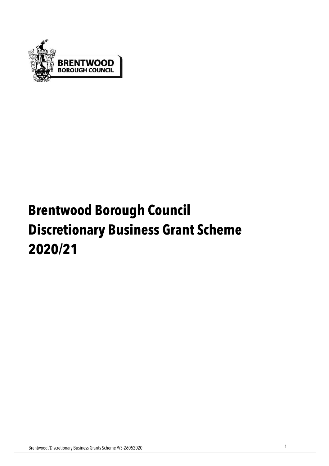

# **Brentwood Borough Council Discretionary Business Grant Scheme 2020/21**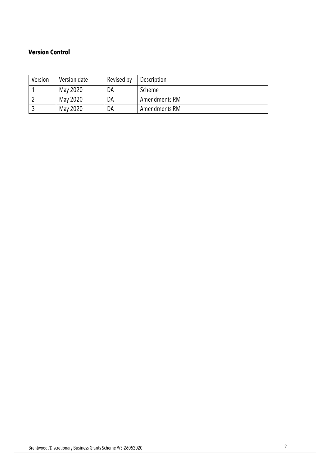#### **Version Control**

| Version | Version date | Revised by | Description   |
|---------|--------------|------------|---------------|
|         | May 2020     | DA         | Scheme        |
|         | May 2020     | DA         | Amendments RM |
|         | May 2020     | DA         | Amendments RM |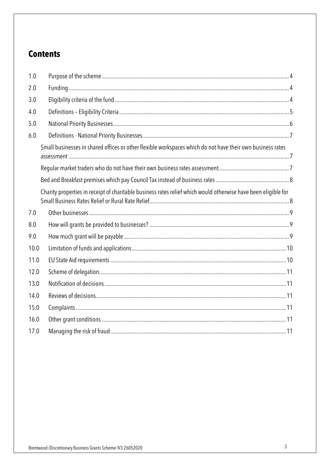# **Contents**

| 1.0  |                                                                                                                |  |
|------|----------------------------------------------------------------------------------------------------------------|--|
| 2.0  |                                                                                                                |  |
| 3.0  |                                                                                                                |  |
| 4.0  |                                                                                                                |  |
| 5.0  |                                                                                                                |  |
| 6.0  |                                                                                                                |  |
|      | Small businesses in shared offices or other flexible workspaces which do not have their own business rates     |  |
|      |                                                                                                                |  |
|      |                                                                                                                |  |
|      | Charity properties in receipt of charitable business rates relief which would otherwise have been eligible for |  |
| 7.0  |                                                                                                                |  |
| 8.0  |                                                                                                                |  |
| 9.0  |                                                                                                                |  |
| 10.0 |                                                                                                                |  |
| 11.0 |                                                                                                                |  |
| 12.0 |                                                                                                                |  |
| 13.0 |                                                                                                                |  |
| 14.0 |                                                                                                                |  |
| 15.0 |                                                                                                                |  |
| 16.0 |                                                                                                                |  |
| 17.0 |                                                                                                                |  |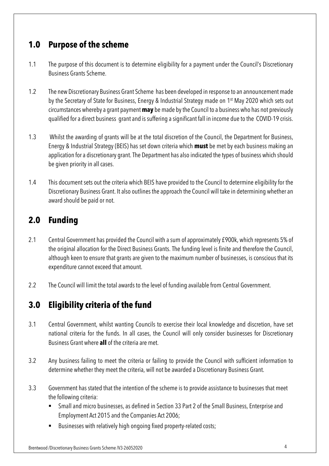# **1.0 Purpose of the scheme**

- 1.1 The purpose of this document is to determine eligibility for a payment under the Council's Discretionary Business Grants Scheme.
- 1.2 The new Discretionary Business Grant Scheme has been developed in response to an announcement made by the Secretary of State for Business, Energy & Industrial Strategy made on 1st May 2020 which sets out circumstances whereby a grant payment **may** be made by the Council to a business who has not previously qualified for a direct business grant and is suffering a significant fall in income due to the COVID-19 crisis.
- 1.3 Whilst the awarding of grants will be at the total discretion of the Council, the Department for Business, Energy & Industrial Strategy (BEIS) has set down criteria which **must** be met by each business making an application for a discretionary grant. The Department has also indicated the types of business which should be given priority in all cases.
- 1.4 This document sets out the criteria which BEIS have provided to the Council to determine eligibility for the Discretionary Business Grant. It also outlines the approach the Council will take in determining whether an award should be paid or not.

# **2.0 Funding**

- 2.1 Central Government has provided the Council with a sum of approximately £900k, which represents 5% of the original allocation for the Direct Business Grants. The funding level is finite and therefore the Council, although keen to ensure that grants are given to the maximum number of businesses, is conscious that its expenditure cannot exceed that amount.
- 2.2 The Council will limit the total awards to the level of funding available from Central Government.

# **3.0 Eligibility criteria of the fund**

- 3.1 Central Government, whilst wanting Councils to exercise their local knowledge and discretion, have set national criteria for the funds. In all cases, the Council will only consider businesses for Discretionary Business Grant where **all** of the criteria are met.
- 3.2 Any business failing to meet the criteria or failing to provide the Council with sufficient information to determine whether they meet the criteria, will not be awarded a Discretionary Business Grant.
- 3.3 Government has stated that the intention of the scheme is to provide assistance to businesses that meet the following criteria:
	- Small and micro businesses, as defined in Section 33 Part 2 of the Small Business, Enterprise and Employment Act 2015 and the Companies Act 2006;
	- Businesses with relatively high ongoing fixed property-related costs;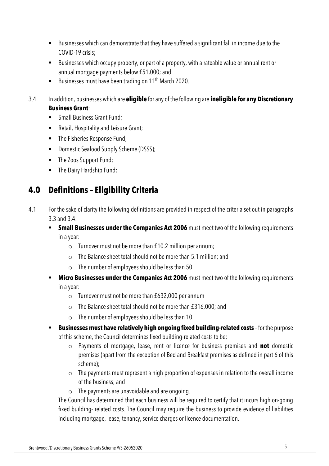- Businesses which can demonstrate that they have suffered a significant fall in income due to the COVID-19 crisis;
- Businesses which occupy property, or part of a property, with a rateable value or annual rent or annual mortgage payments below £51,000; and
- Businesses must have been trading on 11<sup>th</sup> March 2020.
- 3.4 In addition, businesses which are **eligible** for any of the following are **ineligible for any Discretionary Business Grant**:
	- Small Business Grant Fund:
	- § Retail, Hospitality and Leisure Grant;
	- The Fisheries Response Fund;
	- Domestic Seafood Supply Scheme (DSSS);
	- The Zoos Support Fund;
	- The Dairy Hardship Fund;

# **4.0 Definitions – Eligibility Criteria**

- 4.1 For the sake of clarity the following definitions are provided in respect of the criteria set out in paragraphs 3.3 and 3.4:
	- **Small Businesses under the Companies Act 2006** must meet two of the following requirements in a year:
		- o Turnover must not be more than £10.2 million per annum;
		- o The Balance sheet total should not be more than 5.1 million; and
		- $\circ$  The number of employees should be less than 50.
	- **EXTERCT Micro Businesses under the Companies Act 2006** must meet two of the following requirements in a year:
		- o Turnover must not be more than £632,000 per annum
		- o The Balance sheet total should not be more than £316,000; and
		- o The number of employees should be less than 10.
	- **Example 3 Businesses must have relatively high ongoing fixed building-related costs for the purpose** of this scheme, the Council determines fixed building-related costs to be;
		- o Payments of mortgage, lease, rent or licence for business premises and **not** domestic premises (apart from the exception of Bed and Breakfast premises as defined in part 6 of this scheme);
		- $\circ$  The payments must represent a high proportion of expenses in relation to the overall income of the business; and
		- $\circ$  The payments are unavoidable and are ongoing.

The Council has determined that each business will be required to certify that it incurs high on-going fixed building- related costs. The Council may require the business to provide evidence of liabilities including mortgage, lease, tenancy, service charges or licence documentation.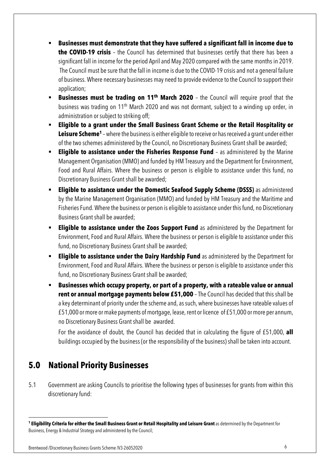- § **Businesses must demonstrate that they have suffered a significant fall in income due to the COVID-19 crisis** – the Council has determined that businesses certify that there has been a significant fall in income for the period April and May 2020 compared with the same months in 2019. The Council must be sure that the fall in income is due to the COVID-19 crisis and not a general failure of business. Where necessary businesses may need to provide evidence to the Council to support their application;
- **Example 5 Businesses must be trading on 11<sup>th</sup> March 2020** the Council will require proof that the business was trading on 11th March 2020 and was not dormant, subject to a winding up order, in administration or subject to striking off;
- § **Eligible to a grant under the Small Business Grant Scheme or the Retail Hospitality or Leisure Scheme1** – where the business is either eligible to receive or has received a grant under either of the two schemes administered by the Council, no Discretionary Business Grant shall be awarded;
- **Eligible to assistance under the Fisheries Response Fund** as administered by the Marine Management Organisation (MMO) and funded by HM Treasury and the Department for Environment, Food and Rural Affairs. Where the business or person is eligible to assistance under this fund, no Discretionary Business Grant shall be awarded;
- § **Eligible to assistance under the Domestic Seafood Supply Scheme (DSSS)** as administered by the Marine Management Organisation (MMO) and funded by HM Treasury and the Maritime and Fisheries Fund. Where the business or person is eligible to assistance under this fund, no Discretionary Business Grant shall be awarded;
- **Eligible to assistance under the Zoos Support Fund** as administered by the Department for Environment, Food and Rural Affairs. Where the business or person is eligible to assistance under this fund, no Discretionary Business Grant shall be awarded;
- **Eligible to assistance under the Dairy Hardship Fund** as administered by the Department for Environment, Food and Rural Affairs. Where the business or person is eligible to assistance under this fund, no Discretionary Business Grant shall be awarded;
- § **Businesses which occupy property, or part of a property, with a rateable value or annual rent or annual mortgage payments below £51,000** – The Council has decided that this shall be a key determinant of priority under the scheme and, as such, where businesses have rateable values of £51,000 or more or make payments of mortgage, lease, rent or licence of £51,000 or more per annum, no Discretionary Business Grant shall be awarded.

For the avoidance of doubt, the Council has decided that in calculating the figure of £51,000, **all**  buildings occupied by the business (or the responsibility of the business) shall be taken into account.

# **5.0 National Priority Businesses**

5.1 Government are asking Councils to prioritise the following types of businesses for grants from within this discretionary fund:

**<sup>1</sup> Eligibility Criteria for either the Small Business Grant or Retail Hospitality and Leisure Grant** as determined by the Department for Business, Energy & Industrial Strategy and administered by the Council;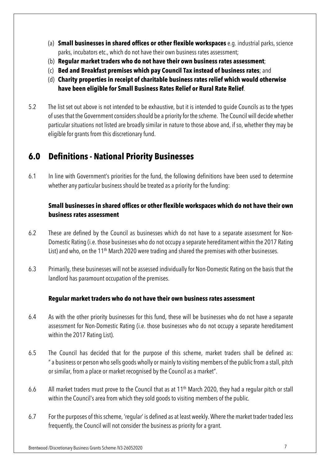- (a) **Small businesses in shared offices or other flexible workspaces** e.g. industrial parks, science parks, incubators etc., which do not have their own business rates assessment;
- (b) **Regular market traders who do not have their own business rates assessment**;
- (c) **Bed and Breakfast premises which pay Council Tax instead of business rates**; and
- (d) **Charity properties in receipt of charitable business rates relief which would otherwise have been eligible for Small Business Rates Relief or Rural Rate Relief**.
- 5.2 The list set out above is not intended to be exhaustive, but it is intended to guide Councils as to the types of uses that the Government considers should be a priority for the scheme. The Council will decide whether particular situations not listed are broadly similar in nature to those above and, if so, whether they may be eligible for grants from this discretionary fund.

# **6.0 Definitions - National Priority Businesses**

6.1 In line with Government's priorities for the fund, the following definitions have been used to determine whether any particular business should be treated as a priority for the funding:

#### **Small businesses in shared offices or other flexible workspaces which do not have their own business rates assessment**

- 6.2 These are defined by the Council as businesses which do not have to a separate assessment for Non-Domestic Rating (i.e. those businesses who do not occupy a separate hereditament within the 2017 Rating List) and who, on the 11<sup>th</sup> March 2020 were trading and shared the premises with other businesses.
- 6.3 Primarily, these businesses will not be assessed individually for Non-Domestic Rating on the basis that the landlord has paramount occupation of the premises.

#### **Regular market traders who do not have their own business rates assessment**

- 6.4 As with the other priority businesses for this fund, these will be businesses who do not have a separate assessment for Non-Domestic Rating (i.e. those businesses who do not occupy a separate hereditament within the 2017 Rating List).
- 6.5 The Council has decided that for the purpose of this scheme, market traders shall be defined as: " a business or person who sells goods wholly or mainly to visiting members of the public from a stall, pitch or similar, from a place or market recognised by the Council as a market".
- 6.6 All market traders must prove to the Council that as at 11<sup>th</sup> March 2020, they had a regular pitch or stall within the Council's area from which they sold goods to visiting members of the public.
- 6.7 For the purposes of this scheme, 'regular' is defined as at least weekly. Where the market trader traded less frequently, the Council will not consider the business as priority for a grant.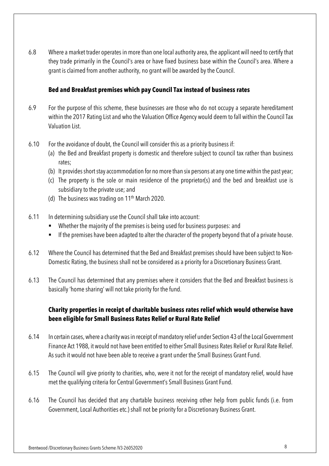6.8 Where a market trader operates in more than one local authority area, the applicant will need to certify that they trade primarily in the Council's area or have fixed business base within the Council's area. Where a grant is claimed from another authority, no grant will be awarded by the Council.

#### **Bed and Breakfast premises which pay Council Tax instead of business rates**

- 6.9 For the purpose of this scheme, these businesses are those who do not occupy a separate hereditament within the 2017 Rating List and who the Valuation Office Agency would deem to fall within the Council Tax Valuation List.
- 6.10 For the avoidance of doubt, the Council will consider this as a priority business if:
	- (a) the Bed and Breakfast property is domestic and therefore subject to council tax rather than business rates;
	- (b) It provides short stay accommodation for no more than six persons at any one time within the past year;
	- (c) The property is the sole or main residence of the proprietor(s) and the bed and breakfast use is subsidiary to the private use; and
	- (d) The business was trading on  $11<sup>th</sup>$  March 2020.
- 6.11 In determining subsidiary use the Council shall take into account:
	- Whether the majority of the premises is being used for business purposes: and
	- If the premises have been adapted to alter the character of the property beyond that of a private house.
- 6.12 Where the Council has determined that the Bed and Breakfast premises should have been subject to Non-Domestic Rating, the business shall not be considered as a priority for a Discretionary Business Grant.
- 6.13 The Council has determined that any premises where it considers that the Bed and Breakfast business is basically 'home sharing' will not take priority for the fund.

#### **Charity properties in receipt of charitable business rates relief which would otherwise have been eligible for Small Business Rates Relief or Rural Rate Relief**

- 6.14 In certain cases, where a charity was in receipt of mandatory relief under Section 43 of the Local Government Finance Act 1988, it would not have been entitled to either Small Business Rates Relief or Rural Rate Relief. As such it would not have been able to receive a grant under the Small Business Grant Fund.
- 6.15 The Council will give priority to charities, who, were it not for the receipt of mandatory relief, would have met the qualifying criteria for Central Government's Small Business Grant Fund.
- 6.16 The Council has decided that any chartable business receiving other help from public funds (i.e. from Government, Local Authorities etc.) shall not be priority for a Discretionary Business Grant.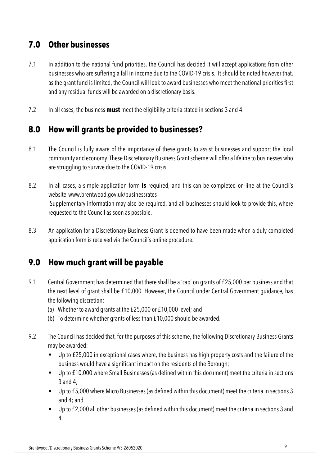# **7.0 Other businesses**

- 7.1 In addition to the national fund priorities, the Council has decided it will accept applications from other businesses who are suffering a fall in income due to the COVID-19 crisis. It should be noted however that, as the grant fund is limited, the Council will look to award businesses who meet the national priorities first and any residual funds will be awarded on a discretionary basis.
- 7.2 In all cases, the business **must** meet the eligibility criteria stated in sections 3 and 4.

## **8.0 How will grants be provided to businesses?**

- 8.1 The Council is fully aware of the importance of these grants to assist businesses and support the local community and economy. These Discretionary Business Grant scheme will offer a lifeline to businesses who are struggling to survive due to the COVID-19 crisis.
- 8.2 In all cases, a simple application form **is** required, and this can be completed on-line at the Council's website www.brentwood.gov.uk/businessrates Supplementary information may also be required, and all businesses should look to provide this, where requested to the Council as soon as possible.
- 8.3 An application for a Discretionary Business Grant is deemed to have been made when a duly completed application form is received via the Council's online procedure.

# **9.0 How much grant will be payable**

- 9.1 Central Government has determined that there shall be a 'cap' on grants of £25,000 per business and that the next level of grant shall be £10,000. However, the Council under Central Government guidance, has the following discretion:
	- (a) Whether to award grants at the £25,000 or £10,000 level; and
	- (b) To determine whether grants of less than £10,000 should be awarded.
- 9.2 The Council has decided that, for the purposes of this scheme, the following Discretionary Business Grants may be awarded:
	- Up to £25,000 in exceptional cases where, the business has high property costs and the failure of the business would have a significant impact on the residents of the Borough;
	- Up to £10,000 where Small Businesses (as defined within this document) meet the criteria in sections 3 and 4;
	- Up to £5,000 where Micro Businesses (as defined within this document) meet the criteria in sections 3 and 4; and
	- Up to £2,000 all other businesses (as defined within this document) meet the criteria in sections 3 and 4.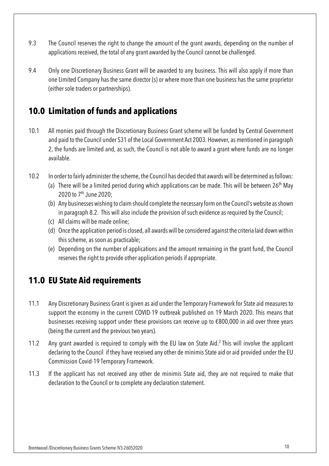- 9.3 The Council reserves the right to change the amount of the grant awards, depending on the number of applications received, the total of any grant awarded by the Council cannot be challenged.
- 9.4 Only one Discretionary Business Grant will be awarded to any business. This will also apply if more than one Limited Company has the same director (s) or where more than one business has the same proprietor (either sole traders or partnerships).

# **10.0 Limitation of funds and applications**

- 10.1 All monies paid through the Discretionary Business Grant scheme will be funded by Central Government and paid to the Council under S31 of the Local Government Act 2003. However, as mentioned in paragraph 2, the funds are limited and, as such, the Council is not able to award a grant where funds are no longer available.
- 10.2 In order to fairly administer the scheme, the Council has decided that awards will be determined as follows:
	- (a) There will be a limited period during which applications can be made. This will be between  $26<sup>th</sup>$  May 2020 to 7<sup>th</sup> June 2020;
	- (b) Any businesses wishing to claim should complete the necessary form on the Council's website as shown in paragraph 8.2. This will also include the provision of such evidence as required by the Council;
	- (c) All claims will be made online;
	- (d) Once the application period is closed, all awards will be considered against the criteria laid down within this scheme, as soon as practicable;
	- (e) Depending on the number of applications and the amount remaining in the grant fund, the Council reserves the right to provide other application periods if appropriate.

## **11.0 EU State Aid requirements**

- 11.1 Any Discretionary Business Grant is given as aid under the Temporary Framework for State aid measures to support the economy in the current COVID-19 outbreak published on 19 March 2020. This means that businesses receiving support under these provisions can receive up to €800,000 in aid over three years (being the current and the previous two years).
- 11.2 Any grant awarded is required to comply with the EU law on State Aid.2 This will involve the applicant declaring to the Council if they have received any other de minimis State aid or aid provided under the EU Commission Covid-19 Temporary Framework.
- 11.3 If the applicant has not received any other de minimis State aid, they are not required to make that declaration to the Council or to complete any declaration statement.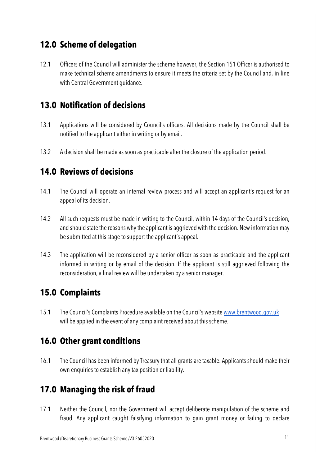## **12.0 Scheme of delegation**

12.1 Officers of the Council will administer the scheme however, the Section 151 Officer is authorised to make technical scheme amendments to ensure it meets the criteria set by the Council and, in line with Central Government guidance.

## **13.0 Notification of decisions**

- 13.1 Applications will be considered by Council's officers. All decisions made by the Council shall be notified to the applicant either in writing or by email.
- 13.2 A decision shall be made as soon as practicable after the closure of the application period.

#### **14.0 Reviews of decisions**

- 14.1 The Council will operate an internal review process and will accept an applicant's request for an appeal of its decision.
- 14.2 All such requests must be made in writing to the Council, within 14 days of the Council's decision, and should state the reasons why the applicant is aggrieved with the decision. New information may be submitted at this stage to support the applicant's appeal.
- 14.3 The application will be reconsidered by a senior officer as soon as practicable and the applicant informed in writing or by email of the decision. If the applicant is still aggrieved following the reconsideration, a final review will be undertaken by a senior manager.

## **15.0 Complaints**

15.1 The Council's Complaints Procedure available on the Council's website www.brentwood.gov.uk will be applied in the event of any complaint received about this scheme.

## **16.0 Other grant conditions**

16.1 The Council has been informed by Treasury that all grants are taxable. Applicants should make their own enquiries to establish any tax position or liability.

## **17.0 Managing the risk of fraud**

17.1 Neither the Council, nor the Government will accept deliberate manipulation of the scheme and fraud. Any applicant caught falsifying information to gain grant money or failing to declare